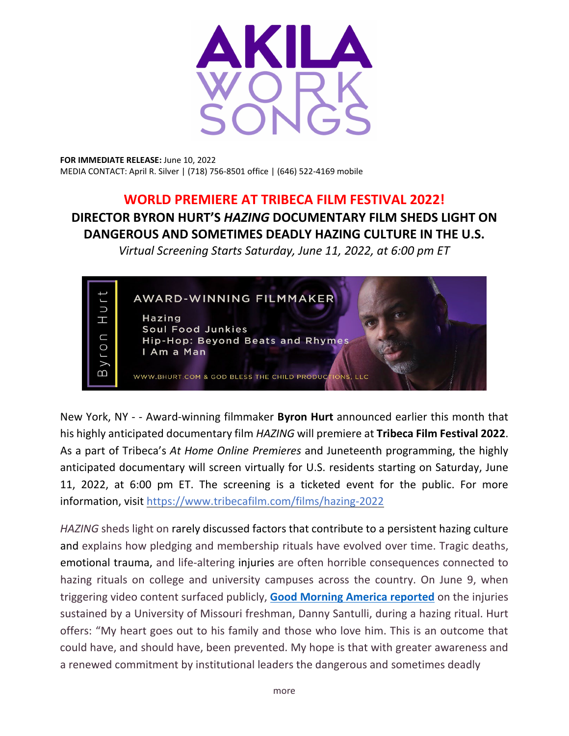

**FOR IMMEDIATE RELEASE:** June 10, 2022 MEDIA CONTACT: April R. Silver | (718) 756-8501 office | (646) 522-4169 mobile

## **WORLD PREMIERE AT TRIBECA FILM FESTIVAL 2022!**

## **DIRECTOR BYRON HURT'S** *HAZING* **DOCUMENTARY FILM SHEDS LIGHT ON DANGEROUS AND SOMETIMES DEADLY HAZING CULTURE IN THE U.S.**

*Virtual Screening Starts Saturday, June 11, 2022, at 6:00 pm ET*



New York, NY - - Award-winning filmmaker **Byron Hurt** announced earlier this month that his highly anticipated documentary film *HAZING* will premiere at **Tribeca Film Festival 2022**. As a part of Tribeca's *At Home Online Premieres* and Juneteenth programming, the highly anticipated documentary will screen virtually for U.S. residents starting on Saturday, June 11, 2022, at 6:00 pm ET. The screening is a ticketed event for the public. For more information, visit <https://www.tribecafilm.com/films/hazing-2022>

*HAZING* sheds light on rarely discussed factors that contribute to a persistent hazing culture and explains how pledging and membership rituals have evolved over time. Tragic deaths, emotional trauma, and life-altering injuries are often horrible consequences connected to hazing rituals on college and university campuses across the country. On June 9, when triggering video content surfaced publicly, **Good Morning America [reported](https://www.goodmorningamerica.com/news/video/family-mizzou-student-allegedly-hurt-hazing-incident-speaks-85280480)** on the injuries sustained by a University of Missouri freshman, Danny Santulli, during a hazing ritual. Hurt offers: "My heart goes out to his family and those who love him. This is an outcome that could have, and should have, been prevented. My hope is that with greater awareness and a renewed commitment by institutional leaders the dangerous and sometimes deadly